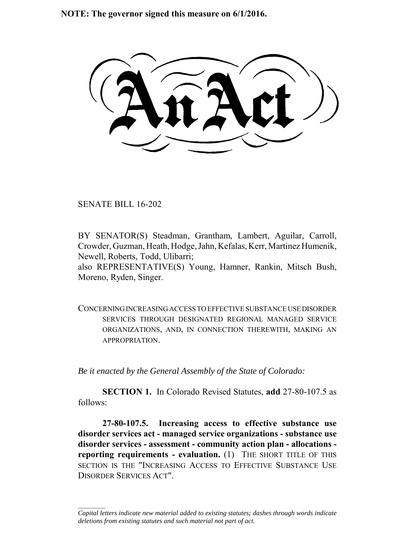**NOTE: The governor signed this measure on 6/1/2016.**

SENATE BILL 16-202

 $\frac{1}{2}$ 

BY SENATOR(S) Steadman, Grantham, Lambert, Aguilar, Carroll, Crowder, Guzman, Heath, Hodge, Jahn, Kefalas, Kerr, Martinez Humenik, Newell, Roberts, Todd, Ulibarri;

also REPRESENTATIVE(S) Young, Hamner, Rankin, Mitsch Bush, Moreno, Ryden, Singer.

CONCERNING INCREASING ACCESS TO EFFECTIVE SUBSTANCE USE DISORDER SERVICES THROUGH DESIGNATED REGIONAL MANAGED SERVICE ORGANIZATIONS, AND, IN CONNECTION THEREWITH, MAKING AN APPROPRIATION.

*Be it enacted by the General Assembly of the State of Colorado:*

**SECTION 1.** In Colorado Revised Statutes, **add** 27-80-107.5 as follows:

**27-80-107.5. Increasing access to effective substance use disorder services act - managed service organizations - substance use disorder services - assessment - community action plan - allocations reporting requirements - evaluation.** (1) THE SHORT TITLE OF THIS SECTION IS THE "INCREASING ACCESS TO EFFECTIVE SUBSTANCE USE DISORDER SERVICES ACT".

*Capital letters indicate new material added to existing statutes; dashes through words indicate deletions from existing statutes and such material not part of act.*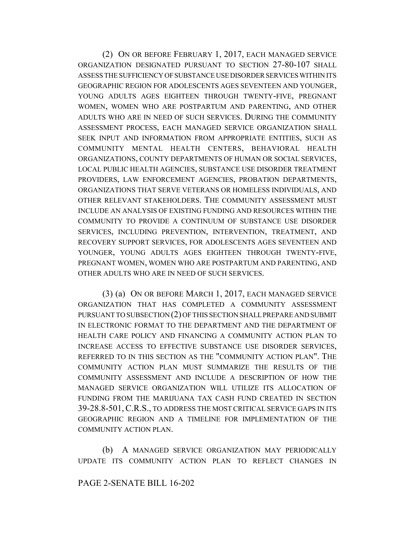(2) ON OR BEFORE FEBRUARY 1, 2017, EACH MANAGED SERVICE ORGANIZATION DESIGNATED PURSUANT TO SECTION 27-80-107 SHALL ASSESS THE SUFFICIENCY OF SUBSTANCE USE DISORDER SERVICES WITHIN ITS GEOGRAPHIC REGION FOR ADOLESCENTS AGES SEVENTEEN AND YOUNGER, YOUNG ADULTS AGES EIGHTEEN THROUGH TWENTY-FIVE, PREGNANT WOMEN, WOMEN WHO ARE POSTPARTUM AND PARENTING, AND OTHER ADULTS WHO ARE IN NEED OF SUCH SERVICES. DURING THE COMMUNITY ASSESSMENT PROCESS, EACH MANAGED SERVICE ORGANIZATION SHALL SEEK INPUT AND INFORMATION FROM APPROPRIATE ENTITIES, SUCH AS COMMUNITY MENTAL HEALTH CENTERS, BEHAVIORAL HEALTH ORGANIZATIONS, COUNTY DEPARTMENTS OF HUMAN OR SOCIAL SERVICES, LOCAL PUBLIC HEALTH AGENCIES, SUBSTANCE USE DISORDER TREATMENT PROVIDERS, LAW ENFORCEMENT AGENCIES, PROBATION DEPARTMENTS, ORGANIZATIONS THAT SERVE VETERANS OR HOMELESS INDIVIDUALS, AND OTHER RELEVANT STAKEHOLDERS. THE COMMUNITY ASSESSMENT MUST INCLUDE AN ANALYSIS OF EXISTING FUNDING AND RESOURCES WITHIN THE COMMUNITY TO PROVIDE A CONTINUUM OF SUBSTANCE USE DISORDER SERVICES, INCLUDING PREVENTION, INTERVENTION, TREATMENT, AND RECOVERY SUPPORT SERVICES, FOR ADOLESCENTS AGES SEVENTEEN AND YOUNGER, YOUNG ADULTS AGES EIGHTEEN THROUGH TWENTY-FIVE, PREGNANT WOMEN, WOMEN WHO ARE POSTPARTUM AND PARENTING, AND OTHER ADULTS WHO ARE IN NEED OF SUCH SERVICES.

(3) (a) ON OR BEFORE MARCH 1, 2017, EACH MANAGED SERVICE ORGANIZATION THAT HAS COMPLETED A COMMUNITY ASSESSMENT PURSUANT TO SUBSECTION (2) OF THIS SECTION SHALL PREPARE AND SUBMIT IN ELECTRONIC FORMAT TO THE DEPARTMENT AND THE DEPARTMENT OF HEALTH CARE POLICY AND FINANCING A COMMUNITY ACTION PLAN TO INCREASE ACCESS TO EFFECTIVE SUBSTANCE USE DISORDER SERVICES, REFERRED TO IN THIS SECTION AS THE "COMMUNITY ACTION PLAN". THE COMMUNITY ACTION PLAN MUST SUMMARIZE THE RESULTS OF THE COMMUNITY ASSESSMENT AND INCLUDE A DESCRIPTION OF HOW THE MANAGED SERVICE ORGANIZATION WILL UTILIZE ITS ALLOCATION OF FUNDING FROM THE MARIJUANA TAX CASH FUND CREATED IN SECTION 39-28.8-501,C.R.S., TO ADDRESS THE MOST CRITICAL SERVICE GAPS IN ITS GEOGRAPHIC REGION AND A TIMELINE FOR IMPLEMENTATION OF THE COMMUNITY ACTION PLAN.

(b) A MANAGED SERVICE ORGANIZATION MAY PERIODICALLY UPDATE ITS COMMUNITY ACTION PLAN TO REFLECT CHANGES IN

## PAGE 2-SENATE BILL 16-202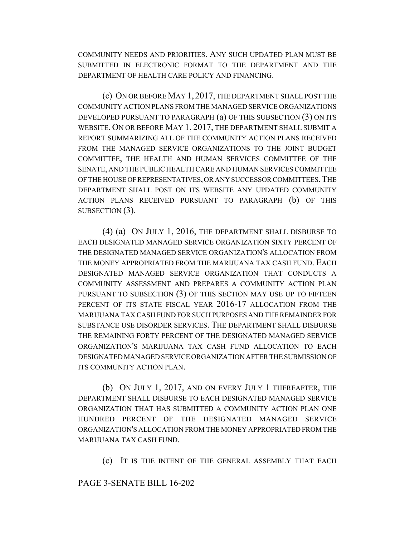COMMUNITY NEEDS AND PRIORITIES. ANY SUCH UPDATED PLAN MUST BE SUBMITTED IN ELECTRONIC FORMAT TO THE DEPARTMENT AND THE DEPARTMENT OF HEALTH CARE POLICY AND FINANCING.

(c) ON OR BEFORE MAY 1, 2017, THE DEPARTMENT SHALL POST THE COMMUNITY ACTION PLANS FROM THE MANAGED SERVICE ORGANIZATIONS DEVELOPED PURSUANT TO PARAGRAPH (a) OF THIS SUBSECTION (3) ON ITS WEBSITE. ON OR BEFORE MAY 1, 2017, THE DEPARTMENT SHALL SUBMIT A REPORT SUMMARIZING ALL OF THE COMMUNITY ACTION PLANS RECEIVED FROM THE MANAGED SERVICE ORGANIZATIONS TO THE JOINT BUDGET COMMITTEE, THE HEALTH AND HUMAN SERVICES COMMITTEE OF THE SENATE, AND THE PUBLIC HEALTH CARE AND HUMAN SERVICES COMMITTEE OF THE HOUSE OF REPRESENTATIVES, OR ANY SUCCESSOR COMMITTEES.THE DEPARTMENT SHALL POST ON ITS WEBSITE ANY UPDATED COMMUNITY ACTION PLANS RECEIVED PURSUANT TO PARAGRAPH (b) OF THIS SUBSECTION  $(3)$ .

(4) (a) ON JULY 1, 2016, THE DEPARTMENT SHALL DISBURSE TO EACH DESIGNATED MANAGED SERVICE ORGANIZATION SIXTY PERCENT OF THE DESIGNATED MANAGED SERVICE ORGANIZATION'S ALLOCATION FROM THE MONEY APPROPRIATED FROM THE MARIJUANA TAX CASH FUND. EACH DESIGNATED MANAGED SERVICE ORGANIZATION THAT CONDUCTS A COMMUNITY ASSESSMENT AND PREPARES A COMMUNITY ACTION PLAN PURSUANT TO SUBSECTION (3) OF THIS SECTION MAY USE UP TO FIFTEEN PERCENT OF ITS STATE FISCAL YEAR 2016-17 ALLOCATION FROM THE MARIJUANA TAX CASH FUND FOR SUCH PURPOSES AND THE REMAINDER FOR SUBSTANCE USE DISORDER SERVICES. THE DEPARTMENT SHALL DISBURSE THE REMAINING FORTY PERCENT OF THE DESIGNATED MANAGED SERVICE ORGANIZATION'S MARIJUANA TAX CASH FUND ALLOCATION TO EACH DESIGNATED MANAGED SERVICE ORGANIZATION AFTER THE SUBMISSION OF ITS COMMUNITY ACTION PLAN.

(b) ON JULY 1, 2017, AND ON EVERY JULY 1 THEREAFTER, THE DEPARTMENT SHALL DISBURSE TO EACH DESIGNATED MANAGED SERVICE ORGANIZATION THAT HAS SUBMITTED A COMMUNITY ACTION PLAN ONE HUNDRED PERCENT OF THE DESIGNATED MANAGED SERVICE ORGANIZATION'S ALLOCATION FROM THE MONEY APPROPRIATED FROM THE MARIJUANA TAX CASH FUND.

(c) IT IS THE INTENT OF THE GENERAL ASSEMBLY THAT EACH

## PAGE 3-SENATE BILL 16-202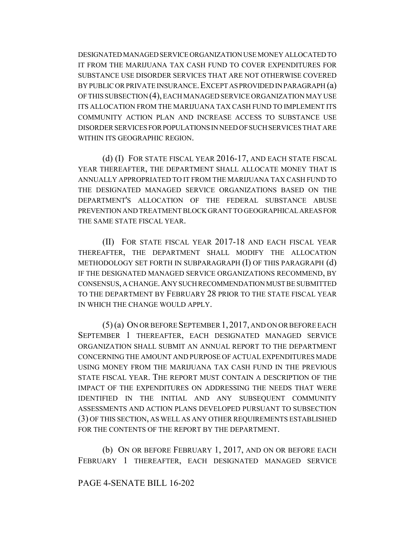DESIGNATED MANAGED SERVICE ORGANIZATION USE MONEY ALLOCATED TO IT FROM THE MARIJUANA TAX CASH FUND TO COVER EXPENDITURES FOR SUBSTANCE USE DISORDER SERVICES THAT ARE NOT OTHERWISE COVERED BY PUBLIC OR PRIVATE INSURANCE. EXCEPT AS PROVIDED IN PARAGRAPH (a) OF THIS SUBSECTION (4), EACH MANAGED SERVICE ORGANIZATION MAY USE ITS ALLOCATION FROM THE MARIJUANA TAX CASH FUND TO IMPLEMENT ITS COMMUNITY ACTION PLAN AND INCREASE ACCESS TO SUBSTANCE USE DISORDER SERVICES FOR POPULATIONS IN NEED OF SUCH SERVICES THAT ARE WITHIN ITS GEOGRAPHIC REGION.

(d) (I) FOR STATE FISCAL YEAR 2016-17, AND EACH STATE FISCAL YEAR THEREAFTER, THE DEPARTMENT SHALL ALLOCATE MONEY THAT IS ANNUALLY APPROPRIATED TO IT FROM THE MARIJUANA TAX CASH FUND TO THE DESIGNATED MANAGED SERVICE ORGANIZATIONS BASED ON THE DEPARTMENT'S ALLOCATION OF THE FEDERAL SUBSTANCE ABUSE PREVENTION AND TREATMENT BLOCK GRANT TO GEOGRAPHICAL AREAS FOR THE SAME STATE FISCAL YEAR.

(II) FOR STATE FISCAL YEAR 2017-18 AND EACH FISCAL YEAR THEREAFTER, THE DEPARTMENT SHALL MODIFY THE ALLOCATION METHODOLOGY SET FORTH IN SUBPARAGRAPH (I) OF THIS PARAGRAPH (d) IF THE DESIGNATED MANAGED SERVICE ORGANIZATIONS RECOMMEND, BY CONSENSUS, A CHANGE.ANY SUCH RECOMMENDATION MUST BE SUBMITTED TO THE DEPARTMENT BY FEBRUARY 28 PRIOR TO THE STATE FISCAL YEAR IN WHICH THE CHANGE WOULD APPLY.

(5) (a) ON OR BEFORE SEPTEMBER 1, 2017, AND ON OR BEFORE EACH SEPTEMBER 1 THEREAFTER, EACH DESIGNATED MANAGED SERVICE ORGANIZATION SHALL SUBMIT AN ANNUAL REPORT TO THE DEPARTMENT CONCERNING THE AMOUNT AND PURPOSE OF ACTUAL EXPENDITURES MADE USING MONEY FROM THE MARIJUANA TAX CASH FUND IN THE PREVIOUS STATE FISCAL YEAR. THE REPORT MUST CONTAIN A DESCRIPTION OF THE IMPACT OF THE EXPENDITURES ON ADDRESSING THE NEEDS THAT WERE IDENTIFIED IN THE INITIAL AND ANY SUBSEQUENT COMMUNITY ASSESSMENTS AND ACTION PLANS DEVELOPED PURSUANT TO SUBSECTION (3) OF THIS SECTION, AS WELL AS ANY OTHER REQUIREMENTS ESTABLISHED FOR THE CONTENTS OF THE REPORT BY THE DEPARTMENT.

(b) ON OR BEFORE FEBRUARY 1, 2017, AND ON OR BEFORE EACH FEBRUARY 1 THEREAFTER, EACH DESIGNATED MANAGED SERVICE

## PAGE 4-SENATE BILL 16-202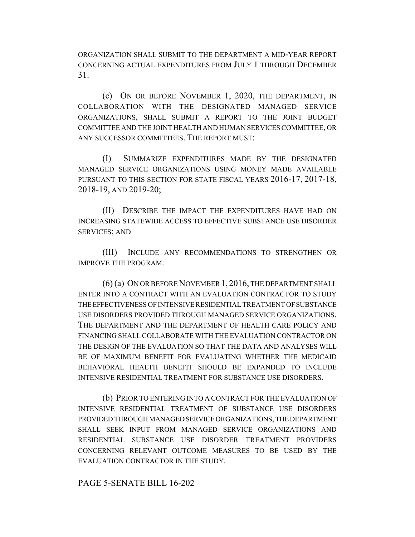ORGANIZATION SHALL SUBMIT TO THE DEPARTMENT A MID-YEAR REPORT CONCERNING ACTUAL EXPENDITURES FROM JULY 1 THROUGH DECEMBER 31.

(c) ON OR BEFORE NOVEMBER 1, 2020, THE DEPARTMENT, IN COLLABORATION WITH THE DESIGNATED MANAGED SERVICE ORGANIZATIONS, SHALL SUBMIT A REPORT TO THE JOINT BUDGET COMMITTEE AND THE JOINT HEALTH AND HUMAN SERVICES COMMITTEE, OR ANY SUCCESSOR COMMITTEES. THE REPORT MUST:

(I) SUMMARIZE EXPENDITURES MADE BY THE DESIGNATED MANAGED SERVICE ORGANIZATIONS USING MONEY MADE AVAILABLE PURSUANT TO THIS SECTION FOR STATE FISCAL YEARS 2016-17, 2017-18, 2018-19, AND 2019-20;

(II) DESCRIBE THE IMPACT THE EXPENDITURES HAVE HAD ON INCREASING STATEWIDE ACCESS TO EFFECTIVE SUBSTANCE USE DISORDER SERVICES; AND

(III) INCLUDE ANY RECOMMENDATIONS TO STRENGTHEN OR IMPROVE THE PROGRAM.

(6) (a) ON OR BEFORE NOVEMBER 1, 2016, THE DEPARTMENT SHALL ENTER INTO A CONTRACT WITH AN EVALUATION CONTRACTOR TO STUDY THE EFFECTIVENESS OF INTENSIVE RESIDENTIAL TREATMENT OF SUBSTANCE USE DISORDERS PROVIDED THROUGH MANAGED SERVICE ORGANIZATIONS. THE DEPARTMENT AND THE DEPARTMENT OF HEALTH CARE POLICY AND FINANCING SHALL COLLABORATE WITH THE EVALUATION CONTRACTOR ON THE DESIGN OF THE EVALUATION SO THAT THE DATA AND ANALYSES WILL BE OF MAXIMUM BENEFIT FOR EVALUATING WHETHER THE MEDICAID BEHAVIORAL HEALTH BENEFIT SHOULD BE EXPANDED TO INCLUDE INTENSIVE RESIDENTIAL TREATMENT FOR SUBSTANCE USE DISORDERS.

(b) PRIOR TO ENTERING INTO A CONTRACT FOR THE EVALUATION OF INTENSIVE RESIDENTIAL TREATMENT OF SUBSTANCE USE DISORDERS PROVIDED THROUGH MANAGED SERVICE ORGANIZATIONS, THE DEPARTMENT SHALL SEEK INPUT FROM MANAGED SERVICE ORGANIZATIONS AND RESIDENTIAL SUBSTANCE USE DISORDER TREATMENT PROVIDERS CONCERNING RELEVANT OUTCOME MEASURES TO BE USED BY THE EVALUATION CONTRACTOR IN THE STUDY.

## PAGE 5-SENATE BILL 16-202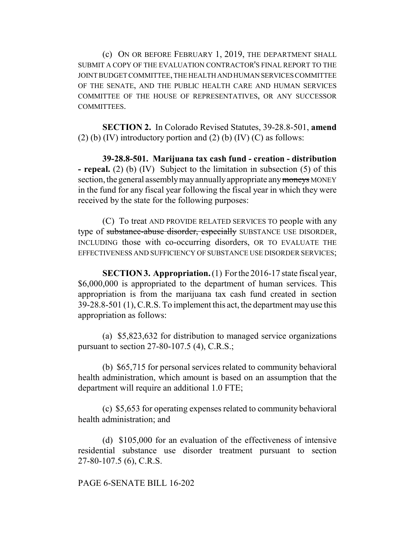(c) ON OR BEFORE FEBRUARY 1, 2019, THE DEPARTMENT SHALL SUBMIT A COPY OF THE EVALUATION CONTRACTOR'S FINAL REPORT TO THE JOINT BUDGET COMMITTEE, THE HEALTH AND HUMAN SERVICES COMMITTEE OF THE SENATE, AND THE PUBLIC HEALTH CARE AND HUMAN SERVICES COMMITTEE OF THE HOUSE OF REPRESENTATIVES, OR ANY SUCCESSOR COMMITTEES.

**SECTION 2.** In Colorado Revised Statutes, 39-28.8-501, **amend** (2) (b) (IV) introductory portion and (2) (b) (IV) (C) as follows:

**39-28.8-501. Marijuana tax cash fund - creation - distribution - repeal.** (2) (b) (IV) Subject to the limitation in subsection (5) of this section, the general assembly may annually appropriate any moneys MONEY in the fund for any fiscal year following the fiscal year in which they were received by the state for the following purposes:

(C) To treat AND PROVIDE RELATED SERVICES TO people with any type of substance-abuse disorder, especially SUBSTANCE USE DISORDER, INCLUDING those with co-occurring disorders, OR TO EVALUATE THE EFFECTIVENESS AND SUFFICIENCY OF SUBSTANCE USE DISORDER SERVICES;

**SECTION 3. Appropriation.** (1) For the 2016-17 state fiscal year, \$6,000,000 is appropriated to the department of human services. This appropriation is from the marijuana tax cash fund created in section 39-28.8-501 (1), C.R.S. To implement this act, the department may use this appropriation as follows:

(a) \$5,823,632 for distribution to managed service organizations pursuant to section 27-80-107.5 (4), C.R.S.;

(b) \$65,715 for personal services related to community behavioral health administration, which amount is based on an assumption that the department will require an additional 1.0 FTE;

(c) \$5,653 for operating expenses related to community behavioral health administration; and

(d) \$105,000 for an evaluation of the effectiveness of intensive residential substance use disorder treatment pursuant to section 27-80-107.5 (6), C.R.S.

PAGE 6-SENATE BILL 16-202